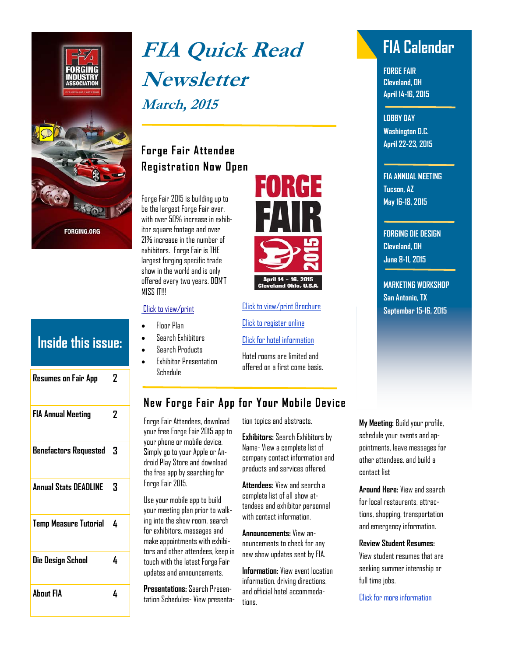

| Inside this issue:  |   |
|---------------------|---|
| Resumes on Fair App | 7 |

| <b>FIA Annual Meeting</b>    | 2 |
|------------------------------|---|
| <b>Benefactors Requested</b> | 3 |
| <b>Annual Stats DEADLINE</b> | 3 |
| <b>Temp Measure Tutorial</b> | 4 |
| Die Design School            | 4 |
| <b>About FIA</b>             |   |

# **FIA Quick Read FIA Calendar Newsletter March, 2015**

# **Forge Fair Attendee Registration Now Open**

Forge Fair 2015 is building up to be the largest Forge Fair ever, with over 50% increase in exhibitor square footage and over 21% increase in the number of exhibitors. Forge Fair is THE largest forging specific trade show in the world and is only offered every two years. DON'T MISS IT!!!

#### [Click to view/print](http://forge15.mapyourshow.com/6_0/search.cfm)

- Floor Plan
- Search Exhibitors
- Search Products
- Exhibitor Presentation Schedule



[Click to view/print Brochure](https://www.forging.org/system/files/public/PDF/ForgeFair_AttendeeBro_Final.pdf)

[Click to register online](http://mbrportal.forging.org/shared_content/events/event_display.aspx?EventKey=FF15REG)

[Click for hotel information](https://www.forging.org/events/forge-fair-2015) 

Hotel rooms are limited and offered on a first come basis.

**FORGE FAIR Cleveland, OH April 14-16, 2015** 

**LOBBY DAY Washington D.C. April 22-23, 2015** 

**FIA ANNUAL MEETING Tucson, AZ May 16-18, 2015** 

**FORGING DIE DESIGN Cleveland, OH June 8-11, 2015** 

**MARKETING WORKSHOP San Antonio, TX September 15-16, 2015** 

#### **New Forge Fair App for Your Mobile Device**

Forge Fair Attendees, download your free Forge Fair 2015 app to your phone or mobile device. Simply go to your Apple or Android Play Store and download the free app by searching for Forge Fair 2015.

Use your mobile app to build your meeting plan prior to walking into the show room, search for exhibitors, messages and make appointments with exhibitors and other attendees, keep in touch with the latest Forge Fair updates and announcements.

**Presentations:** Search Presentation Schedules- View presenta-

tion topics and abstracts.

**Exhibitors:** Search Exhibitors by Name- View a complete list of company contact information and products and services offered.

**Attendees:** View and search a complete list of all show attendees and exhibitor personnel with contact information.

**Announcements:** View announcements to check for any new show updates sent by FIA.

**Information:** View event location information, driving directions, and official hotel accommodations.

**My Meeting:** Build your profile, schedule your events and appointments, leave messages for other attendees, and build a contact list

**Around Here:** View and search for local restaurants, attractions, shopping, transportation and emergency information.

#### **Review Student Resumes:**

View student resumes that are seeking summer internship or full time jobs.

[Click for more information](https://www.forging.org/system/files/public/PDF/ForgeFair_MobileAppAd_red_lr.pdf)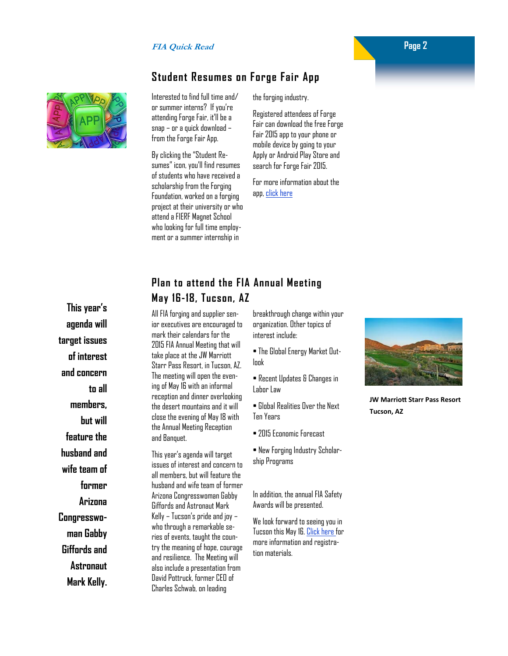#### **Student Resumes on Forge Fair App**

Interested to find full time and/ or summer interns? If you're attending Forge Fair, it'll be a snap – or a quick download – from the Forge Fair App.

By clicking the "Student Resumes" icon, you'll find resumes of students who have received a scholarship from the Forging Foundation, worked on a forging project at their university or who attend a FIERF Magnet School who looking for full time employment or a summer internship in

the forging industry.

Registered attendees of Forge Fair can download the free Forge Fair 2015 app to your phone or mobile device by going to your Apply or Android Play Store and search for Forge Fair 2015.

For more information about the app, [click here](https://www.forging.org/system/files/public/PDF/ForgeFair_MobileAppAd_red_lr.pdf)

## **Plan to attend the FIA Annual Meeting May 16-18, Tucson, AZ**

**This year's agenda will target issues of interest and concern to all members, but will feature the husband and wife team of former Arizona Congresswoman Gabby Giffords and Astronaut** 

**Mark Kelly.** 

All FIA forging and supplier senior executives are encouraged to mark their calendars for the 2015 FIA Annual Meeting that will take place at the JW Marriott Starr Pass Resort, in Tucson, AZ. The meeting will open the evening of May 16 with an informal reception and dinner overlooking the desert mountains and it will close the evening of May 18 with the Annual Meeting Reception and Banquet.

This year's agenda will target issues of interest and concern to all members, but will feature the husband and wife team of former Arizona Congresswoman Gabby Giffords and Astronaut Mark Kelly – Tucson's pride and joy – who through a remarkable series of events, taught the country the meaning of hope, courage and resilience. The Meeting will also include a presentation from David Pottruck, former CEO of Charles Schwab, on leading

breakthrough change within your organization. Other topics of interest include:

• The Global Energy Market Outlook

• Recent Updates & Changes in Labor Law

• Global Realities Over the Next Ten Years

• 2015 Economic Forecast

• New Forging Industry Scholarship Programs

In addition, the annual FIA Safety Awards will be presented.

We look forward to seeing you in Tucson this May 16. [Click here](https://www.forging.org/events/fia-annual-meeting-members) for more information and registration materials.



**JW MarrioƩ Starr Pass Resort Tucson, AZ**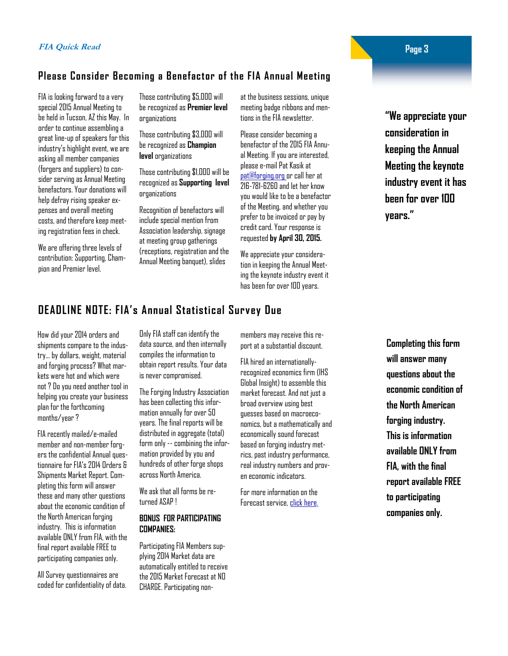#### **Please Consider Becoming a Benefactor of the FIA Annual Meeting**

FIA is looking forward to a very special 2015 Annual Meeting to be held in Tucson, AZ this May. In order to continue assembling a great line-up of speakers for this industry's highlight event, we are asking all member companies (forgers and suppliers) to consider serving as Annual Meeting benefactors. Your donations will help defray rising speaker expenses and overall meeting costs, and therefore keep meeting registration fees in check.

We are offering three levels of contribution: Supporting, Champion and Premier level.

Those contributing \$5,000 will be recognized as **Premier level**  organizations

Those contributing \$3,000 will be recognized as **Champion level** organizations

Those contributing \$1,000 will be recognized as **Supporting level**  organizations

Recognition of benefactors will include special mention from Association leadership, signage at meeting group gatherings (receptions, registration and the Annual Meeting banquet), slides

at the business sessions, unique meeting badge ribbons and mentions in the FIA newsletter.

Please consider becoming a benefactor of the 2015 FIA Annual Meeting. If you are interested, please e-mail Pat Kasik at pat@forging.org or call her at 216-781-6260 and let her know you would like to be a benefactor of the Meeting, and whether you prefer to be invoiced or pay by credit card. Your response is requested **by April 30, 2015.** 

We appreciate your consideration in keeping the Annual Meeting the keynote industry event it has been for over 100 years.

# **DEADLINE NOTE: FIA's Annual Statistical Survey Due**

How did your 2014 orders and shipments compare to the industry… by dollars, weight, material and forging process? What markets were hot and which were not ? Do you need another tool in helping you create your business plan for the forthcoming months/year ?

FIA recently mailed/e-mailed member and non-member forgers the confidential Annual questionnaire for FIA's 2014 Orders & Shipments Market Report. Completing this form will answer these and many other questions about the economic condition of the North American forging industry. This is information available ONLY from FIA, with the final report available FREE to participating companies only.

All Survey questionnaires are coded for confidentiality of data. Only FIA staff can identify the data source, and then internally compiles the information to obtain report results. Your data is never compromised.

The Forging Industry Association has been collecting this information annually for over 50 years. The final reports will be distributed in aggregate (total) form only -- combining the information provided by you and hundreds of other forge shops across North America.

We ask that all forms be returned ASAP !

#### **BONUS FOR PARTICIPATING COMPANIES:**

Participating FIA Members supplying 2014 Market data are automatically entitled to receive the 2015 Market Forecast at NO CHARGE. Participating nonmembers may receive this report at a substantial discount.

FIA hired an internationallyrecognized economics firm (IHS Global Insight) to assemble this market forecast. And not just a broad overview using best guesses based on macroeconomics, but a mathematically and economically sound forecast based on forging industry metrics, past industry performance, real industry numbers and proven economic indicators.

For more information on the Forecast service, [click here.](https://www.forging.org/system/files/field_document/latest mkt.pdf) 

**"We appreciate your consideration in keeping the Annual Meeting the keynote industry event it has been for over 100 years."** 

**Completing this form will answer many questions about the economic condition of the North American forging industry. This is information available ONLY from FIA, with the final report available FREE to participating companies only.**